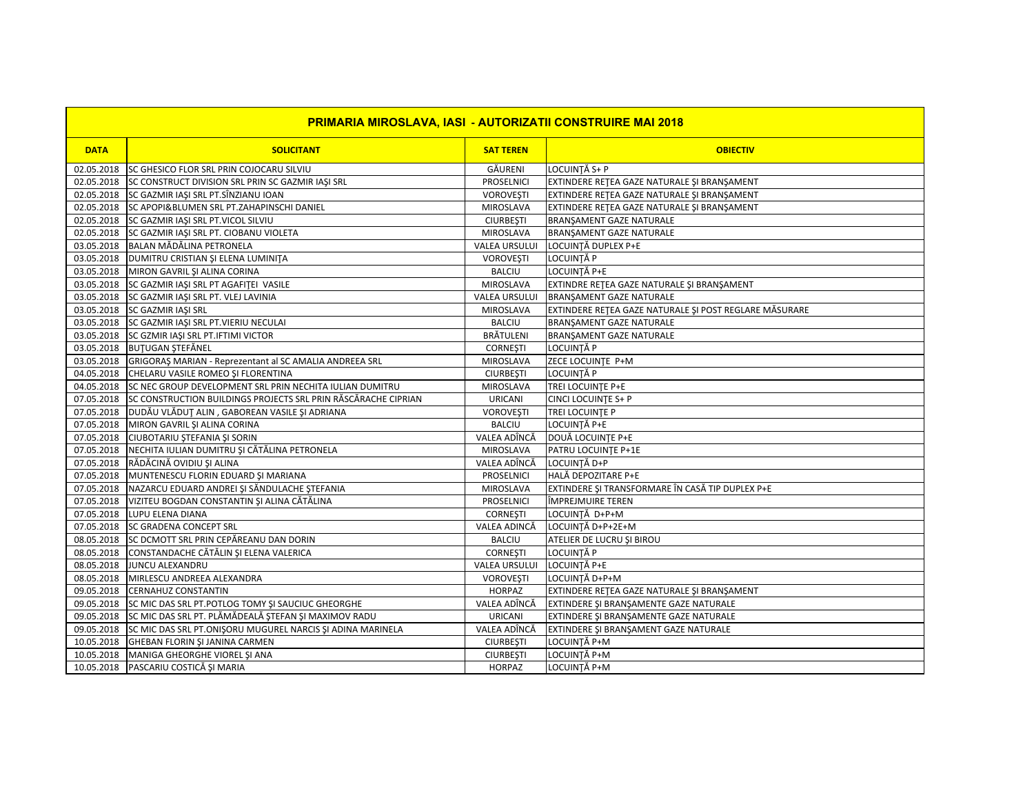| <b>PRIMARIA MIROSLAVA, IASI - AUTORIZATII CONSTRUIRE MAI 2018</b> |                                                                    |                      |                                                        |  |  |
|-------------------------------------------------------------------|--------------------------------------------------------------------|----------------------|--------------------------------------------------------|--|--|
| <b>DATA</b>                                                       | <b>SOLICITANT</b>                                                  | <b>SAT TEREN</b>     | <b>OBIECTIV</b>                                        |  |  |
|                                                                   | 02.05.2018 SC GHESICO FLOR SRL PRIN COJOCARU SILVIU                | GÄURENI              | LOCUINȚĂ S+ P                                          |  |  |
| 02.05.2018                                                        | SC CONSTRUCT DIVISION SRL PRIN SC GAZMIR IAŞI SRL                  | <b>PROSELNICI</b>    | EXTINDERE RETEA GAZE NATURALE ȘI BRANȘAMENT            |  |  |
| 02.05.2018                                                        | SC GAZMIR IAŞI SRL PT.SÎNZIANU IOAN                                | <b>VOROVEȘTI</b>     | EXTINDERE RETEA GAZE NATURALE ȘI BRANȘAMENT            |  |  |
| 02.05.2018                                                        | SC APOPI&BLUMEN SRL PT.ZAHAPINSCHI DANIEL                          | MIROSLAVA            | EXTINDERE RETEA GAZE NATURALE ȘI BRANȘAMENT            |  |  |
| 02.05.2018                                                        | SC GAZMIR IAŞI SRL PT.VICOL SILVIU                                 | <b>CIURBEȘTI</b>     | BRANŞAMENT GAZE NATURALE                               |  |  |
| 02.05.2018                                                        | SC GAZMIR IAȘI SRL PT. CIOBANU VIOLETA                             | MIROSLAVA            | BRANŞAMENT GAZE NATURALE                               |  |  |
|                                                                   | 03.05.2018 BALAN MĂDĂLINA PETRONELA                                | <b>VALEA URSULUI</b> | LOCUINȚĂ DUPLEX P+E                                    |  |  |
|                                                                   | 03.05.2018   DUMITRU CRISTIAN ȘI ELENA LUMINIȚA                    | <b>VOROVEŞTI</b>     | LOCUINȚĂ P                                             |  |  |
|                                                                   | 03.05.2018 MIRON GAVRIL ȘI ALINA CORINA                            | <b>BALCIU</b>        | LOCUINTĂ P+E                                           |  |  |
| 03.05.2018                                                        | SC GAZMIR IASI SRL PT AGAFITEI VASILE                              | MIROSLAVA            | EXTINDRE RETEA GAZE NATURALE SI BRANSAMENT             |  |  |
|                                                                   | 03.05.2018 SC GAZMIR IASI SRL PT. VLEJ LAVINIA                     | <b>VALEA URSULUI</b> | BRANŞAMENT GAZE NATURALE                               |  |  |
|                                                                   | 03.05.2018 SC GAZMIR IAŞI SRL                                      | MIROSLAVA            | EXTINDERE RETEA GAZE NATURALE ȘI POST REGLARE MĂSURARE |  |  |
|                                                                   | 03.05.2018 SC GAZMIR IAŞI SRL PT.VIERIU NECULAI                    | <b>BALCIU</b>        | <b>BRANSAMENT GAZE NATURALE</b>                        |  |  |
|                                                                   | 03.05.2018 SC GZMIR IAŞI SRL PT.IFTIMI VICTOR                      | <b>BRÄTULENI</b>     | BRANŞAMENT GAZE NATURALE                               |  |  |
|                                                                   | 03.05.2018 BUTUGAN STEFÄNEL                                        | <b>CORNESTI</b>      | LOCUINȚĂ P                                             |  |  |
|                                                                   | 03.05.2018 GRIGORAȘ MARIAN - Reprezentant al SC AMALIA ANDREEA SRL | MIROSLAVA            | ZECE LOCUINTE P+M                                      |  |  |
| 04.05.2018                                                        | CHELARU VASILE ROMEO ȘI FLORENTINA                                 | <b>CIURBEȘTI</b>     | LOCUINȚĂ P                                             |  |  |
| 04.05.2018                                                        | SC NEC GROUP DEVELOPMENT SRL PRIN NECHITA IULIAN DUMITRU           | MIROSLAVA            | TREI LOCUINTE P+E                                      |  |  |
| 07.05.2018                                                        | SC CONSTRUCTION BUILDINGS PROJECTS SRL PRIN RĂSCĂRACHE CIPRIAN     | <b>URICANI</b>       | <b>CINCI LOCUINTE S+ P</b>                             |  |  |
|                                                                   | 07.05.2018   DUDĂU VLĂDUȚ ALIN, GABOREAN VASILE ȘI ADRIANA         | <b>VOROVEȘTI</b>     | TREI LOCUINTE P                                        |  |  |
|                                                                   | 07.05.2018 MIRON GAVRIL ȘI ALINA CORINA                            | <b>BALCIU</b>        | LOCUINȚĂ P+E                                           |  |  |
| 07.05.2018                                                        | CIUBOTARIU ȘTEFANIA ȘI SORIN                                       | VALEA ADÎNCĂ         | DOUĂ LOCUINȚE P+E                                      |  |  |
| 07.05.2018                                                        | NECHITA IULIAN DUMITRU ȘI CĂTĂLINA PETRONELA                       | MIROSLAVA            | PATRU LOCUINTE P+1E                                    |  |  |
| 07.05.2018                                                        | RĂDĂCINĂ OVIDIU ȘI ALINA                                           | VALEA ADÎNCĂ         | LOCUINTĂ D+P                                           |  |  |
| 07.05.2018                                                        | MUNTENESCU FLORIN EDUARD ȘI MARIANA                                | PROSELNICI           | HALĂ DEPOZITARE P+E                                    |  |  |
| 07.05.2018                                                        | NAZARCU EDUARD ANDREI ȘI SĂNDULACHE ȘTEFANIA                       | MIROSLAVA            | EXTINDERE ȘI TRANSFORMARE ÎN CASĂ TIP DUPLEX P+E       |  |  |
| 07.05.2018                                                        | VIZITEU BOGDAN CONSTANTIN ȘI ALINA CĂTĂLINA                        | <b>PROSELNICI</b>    | ÎMPREJMUIRE TEREN                                      |  |  |
| 07.05.2018                                                        | LUPU ELENA DIANA                                                   | <b>CORNESTI</b>      | LOCUINTĂ D+P+M                                         |  |  |
| 07.05.2018                                                        | <b>SC GRADENA CONCEPT SRL</b>                                      | VALEA ADINCĂ         | LOCUINȚĂ D+P+2E+M                                      |  |  |
| 08.05.2018                                                        | SC DCMOTT SRL PRIN CEPĂREANU DAN DORIN                             | <b>BALCIU</b>        | ATELIER DE LUCRU ȘI BIROU                              |  |  |
| 08.05.2018                                                        | CONSTANDACHE CĂTĂLIN ȘI ELENA VALERICA                             | <b>CORNESTI</b>      | LOCUINTĂ P                                             |  |  |
| 08.05.2018                                                        | JUNCU ALEXANDRU                                                    | <b>VALEA URSULUI</b> | LOCUINTĂ P+E                                           |  |  |
| 08.05.2018                                                        | MIRLESCU ANDREEA ALEXANDRA                                         | <b>VOROVEȘTI</b>     | LOCUINTĂ D+P+M                                         |  |  |
| 09.05.2018                                                        | <b>CERNAHUZ CONSTANTIN</b>                                         | <b>HORPAZ</b>        | EXTINDERE RETEA GAZE NATURALE ȘI BRANȘAMENT            |  |  |
| 09.05.2018                                                        | SC MIC DAS SRL PT.POTLOG TOMY SI SAUCIUC GHEORGHE                  | VALEA ADÎNCĂ         | EXTINDERE ȘI BRANȘAMENTE GAZE NATURALE                 |  |  |
| 09.05.2018                                                        | SC MIC DAS SRL PT. PLĂMĂDEALĂ ȘTEFAN ȘI MAXIMOV RADU               | <b>URICANI</b>       | EXTINDERE ȘI BRANȘAMENTE GAZE NATURALE                 |  |  |
| 09.05.2018                                                        | SC MIC DAS SRL PT.ONIŞORU MUGUREL NARCIS ŞI ADINA MARINELA         | VALEA ADÎNCĂ         | EXTINDERE ȘI BRANȘAMENT GAZE NATURALE                  |  |  |
| 10.05.2018                                                        | GHEBAN FLORIN ȘI JANINA CARMEN                                     | <b>CIURBEȘTI</b>     | LOCUINȚĂ P+M                                           |  |  |
| 10.05.2018                                                        | MANIGA GHEORGHE VIOREL ȘI ANA                                      | <b>CIURBEȘTI</b>     | LOCUINȚĂ P+M                                           |  |  |
| 10.05.2018                                                        | PASCARIU COSTICĂ ȘI MARIA                                          | <b>HORPAZ</b>        | LOCUINȚĂ P+M                                           |  |  |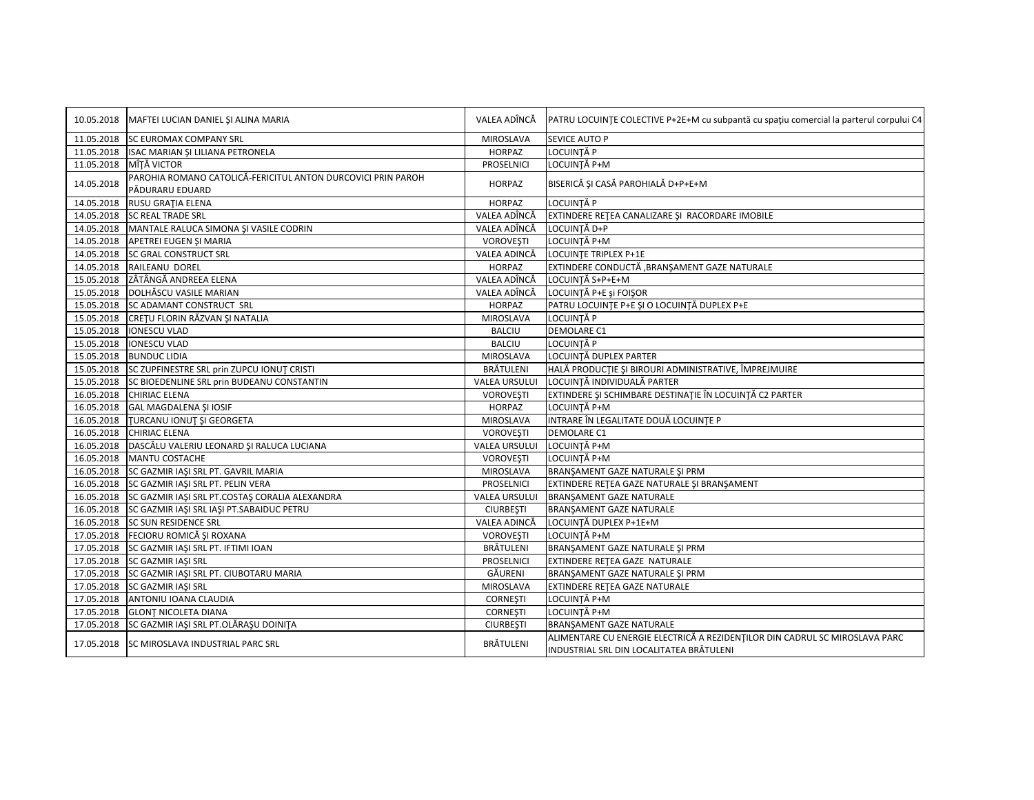|            | 10.05.2018   MAFTEI LUCIAN DANIEL ȘI ALINA MARIA                                | VALEA ADÎNCĂ         | PATRU LOCUINTE COLECTIVE P+2E+M cu subpantă cu spațiu comercial la parterul corpului C4                                 |
|------------|---------------------------------------------------------------------------------|----------------------|-------------------------------------------------------------------------------------------------------------------------|
| 11.05.2018 | <b>SC EUROMAX COMPANY SRL</b>                                                   | MIROSLAVA            | <b>SEVICE AUTO P</b>                                                                                                    |
|            | 11.05.2018 ISAC MARIAN ȘI LILIANA PETRONELA                                     | <b>HORPAZ</b>        | LOCUINȚĂ P                                                                                                              |
| 11.05.2018 | MÎȚĂ VICTOR                                                                     | PROSELNICI           | LOCUINȚĂ P+M                                                                                                            |
| 14.05.2018 | PAROHIA ROMANO CATOLICĂ-FERICITUL ANTON DURCOVICI PRIN PAROH<br>PĂDURARU EDUARD | <b>HORPAZ</b>        | BISERICĂ ȘI CASĂ PAROHIALĂ D+P+E+M                                                                                      |
| 14.05.2018 | RUSU GRAȚIA ELENA                                                               | <b>HORPAZ</b>        | LOCUINTĂ P                                                                                                              |
| 14.05.2018 | <b>SC REAL TRADE SRL</b>                                                        | VALEA ADÎNCĂ         | EXTINDERE RETEA CANALIZARE ȘI RACORDARE IMOBILE                                                                         |
|            | 14.05.2018 MANTALE RALUCA SIMONA ȘI VASILE CODRIN                               | VALEA ADÎNCĂ         | LOCUINTĂ D+P                                                                                                            |
| 14.05.2018 | APETREI EUGEN ȘI MARIA                                                          | <b>VOROVEȘTI</b>     | LOCUINȚĂ P+M                                                                                                            |
| 14.05.2018 | SC GRAL CONSTRUCT SRL                                                           | VALEA ADINCĂ         | LOCUINTE TRIPLEX P+1E                                                                                                   |
|            | 14.05.2018 RAILEANU DOREL                                                       | <b>HORPAZ</b>        | EXTINDERE CONDUCTĂ , BRANȘAMENT GAZE NATURALE                                                                           |
|            | 15.05.2018 ZÂTÂNGĂ ANDREEA ELENA                                                | VALEA ADÎNCĂ         | LOCUINTĂ S+P+E+M                                                                                                        |
|            | 15.05.2018 DOLHĂSCU VASILE MARIAN                                               | VALEA ADÎNCĂ         | LOCUINTĂ P+E și FOISOR                                                                                                  |
| 15.05.2018 | SC ADAMANT CONSTRUCT SRL                                                        | <b>HORPAZ</b>        | PATRU LOCUINȚE P+E ȘI O LOCUINȚĂ DUPLEX P+E                                                                             |
|            | 15.05.2018 CRETU FLORIN RĂZVAN ȘI NATALIA                                       | MIROSLAVA            | LOCUINȚĂ P                                                                                                              |
| 15.05.2018 | <b>IONESCU VLAD</b>                                                             | <b>BALCIU</b>        | DEMOLARE C1                                                                                                             |
| 15.05.2018 | <b>IONESCU VLAD</b>                                                             | <b>BALCIU</b>        | LOCUINȚĂ P                                                                                                              |
| 15.05.2018 | <b>BUNDUC LIDIA</b>                                                             | MIROSLAVA            | LOCUINȚĂ DUPLEX PARTER                                                                                                  |
|            | 15.05.2018 SC ZUPFINESTRE SRL prin ZUPCU IONUT CRISTI                           | BRÄTULENI            | HALĂ PRODUCȚIE ȘI BIROURI ADMINISTRATIVE, ÎMPREJMUIRE                                                                   |
| 15.05.2018 | SC BIOEDENLINE SRL prin BUDEANU CONSTANTIN                                      | <b>VALEA URSULUI</b> | LOCUINȚĂ INDIVIDUALĂ PARTER                                                                                             |
| 16.05.2018 | <b>CHIRIAC ELENA</b>                                                            | <b>VOROVEŞTI</b>     | EXTINDERE ȘI SCHIMBARE DESTINAȚIE ÎN LOCUINȚĂ C2 PARTER                                                                 |
| 16.05.2018 | GAL MAGDALENA ȘI IOSIF                                                          | <b>HORPAZ</b>        | LOCUINTĂ P+M                                                                                                            |
| 16.05.2018 | TURCANU IONUT ȘI GEORGETA                                                       | <b>MIROSLAVA</b>     | INTRARE ÎN LEGALITATE DOUĂ LOCUINTE P                                                                                   |
| 16.05.2018 | <b>CHIRIAC ELENA</b>                                                            | <b>VOROVEȘTI</b>     | DEMOLARE C1                                                                                                             |
| 16.05.2018 | DASCĂLU VALERIU LEONARD ȘI RALUCA LUCIANA                                       | VALEA URSULUI        | LOCUINȚĂ P+M                                                                                                            |
|            | 16.05.2018 MANTU COSTACHE                                                       | <b>VOROVEŞTI</b>     | LOCUINTĂ P+M                                                                                                            |
|            | 16.05.2018 SC GAZMIR IAŞI SRL PT. GAVRIL MARIA                                  | MIROSLAVA            | BRANŞAMENT GAZE NATURALE ŞI PRM                                                                                         |
| 16.05.2018 | SC GAZMIR IAŞI SRL PT. PELIN VERA                                               | PROSELNICI           | EXTINDERE RETEA GAZE NATURALE ȘI BRANȘAMENT                                                                             |
| 16.05.2018 | SC GAZMIR IAȘI SRL PT.COSTAȘ CORALIA ALEXANDRA                                  | VALEA URSULUI        | BRANŞAMENT GAZE NATURALE                                                                                                |
| 16.05.2018 | SC GAZMIR IASI SRL IASI PT.SABAIDUC PETRU                                       | <b>CIURBESTI</b>     | <b>BRANSAMENT GAZE NATURALE</b>                                                                                         |
| 16.05.2018 | <b>SC SUN RESIDENCE SRL</b>                                                     | VALEA ADINCĂ         | LOCUINȚĂ DUPLEX P+1E+M                                                                                                  |
|            | 17.05.2018 FECIORU ROMICĂ ȘI ROXANA                                             | <b>VOROVESTI</b>     | LOCUINTĂ P+M                                                                                                            |
| 17.05.2018 | SC GAZMIR IAŞI SRL PT. IFTIMI IOAN                                              | BRÄTULENI            | BRANŞAMENT GAZE NATURALE ŞI PRM                                                                                         |
|            | 17.05.2018 SC GAZMIR IAŞI SRL                                                   | PROSELNICI           | EXTINDERE RETEA GAZE NATURALE                                                                                           |
| 17.05.2018 | SC GAZMIR IAȘI SRL PT. CIUBOTARU MARIA                                          | GĂURENI              | BRANŞAMENT GAZE NATURALE ŞI PRM                                                                                         |
|            | 17.05.2018 SC GAZMIR IASI SRL                                                   | <b>MIROSLAVA</b>     | <b>EXTINDERE RETEA GAZE NATURALE</b>                                                                                    |
|            | 17.05.2018 ANTONIU IOANA CLAUDIA                                                | <b>CORNESTI</b>      | LOCUINȚĂ P+M                                                                                                            |
|            | 17.05.2018 GLONT NICOLETA DIANA                                                 | <b>CORNESTI</b>      | LOCUINȚĂ P+M                                                                                                            |
| 17.05.2018 | SC GAZMIR IAȘI SRL PT.OLĂRAȘU DOINITA                                           | <b>CIURBEȘTI</b>     | BRANŞAMENT GAZE NATURALE                                                                                                |
|            | 17.05.2018 SC MIROSLAVA INDUSTRIAL PARC SRL                                     | BRÄTULENI            | ALIMENTARE CU ENERGIE ELECTRICĂ A REZIDENȚILOR DIN CADRUL SC MIROSLAVA PARC<br>INDUSTRIAL SRL DIN LOCALITATEA BRĂTULENI |